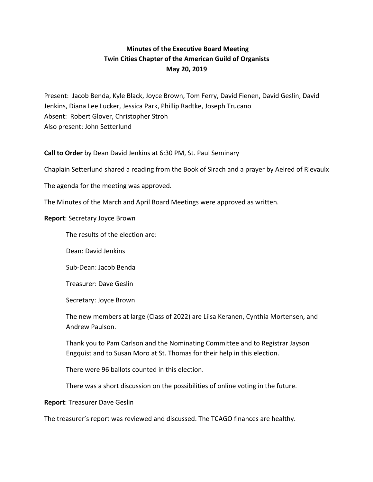## **Minutes of the Executive Board Meeting Twin Cities Chapter of the American Guild of Organists May 20, 2019**

Present: Jacob Benda, Kyle Black, Joyce Brown, Tom Ferry, David Fienen, David Geslin, David Jenkins, Diana Lee Lucker, Jessica Park, Phillip Radtke, Joseph Trucano Absent: Robert Glover, Christopher Stroh Also present: John Setterlund

**Call to Order** by Dean David Jenkins at 6:30 PM, St. Paul Seminary

Chaplain Setterlund shared a reading from the Book of Sirach and a prayer by Aelred of Rievaulx

The agenda for the meeting was approved.

The Minutes of the March and April Board Meetings were approved as written.

## **Report:** Secretary Joyce Brown

The results of the election are:

Dean: David Jenkins

Sub-Dean: Jacob Benda

Treasurer: Dave Geslin

Secretary: Joyce Brown

The new members at large (Class of 2022) are Liisa Keranen, Cynthia Mortensen, and Andrew Paulson.

Thank you to Pam Carlson and the Nominating Committee and to Registrar Jayson Engquist and to Susan Moro at St. Thomas for their help in this election.

There were 96 ballots counted in this election.

There was a short discussion on the possibilities of online voting in the future.

**Report: Treasurer Dave Geslin** 

The treasurer's report was reviewed and discussed. The TCAGO finances are healthy.